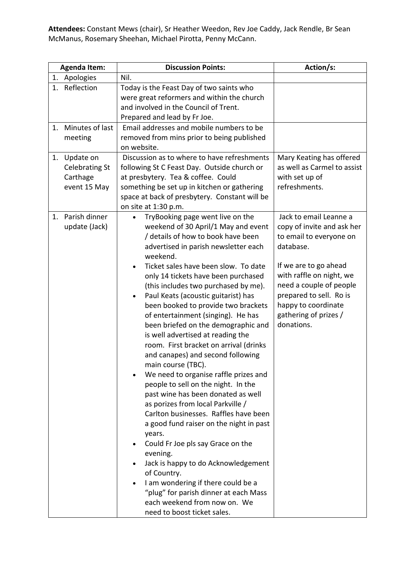**Attendees:** Constant Mews (chair), Sr Heather Weedon, Rev Joe Caddy, Jack Rendle, Br Sean McManus, Rosemary Sheehan, Michael Pirotta, Penny McCann.

| <b>Agenda Item:</b>                                                  | <b>Discussion Points:</b>                                                                                                                                                                                                                                                                                                                                                                                                                                                                                                                                                                                                                                                                                                                                                                                                                                                                                                                                                                                                                                                                                   | Action/s:                                                                                                                                                                                                                                                             |
|----------------------------------------------------------------------|-------------------------------------------------------------------------------------------------------------------------------------------------------------------------------------------------------------------------------------------------------------------------------------------------------------------------------------------------------------------------------------------------------------------------------------------------------------------------------------------------------------------------------------------------------------------------------------------------------------------------------------------------------------------------------------------------------------------------------------------------------------------------------------------------------------------------------------------------------------------------------------------------------------------------------------------------------------------------------------------------------------------------------------------------------------------------------------------------------------|-----------------------------------------------------------------------------------------------------------------------------------------------------------------------------------------------------------------------------------------------------------------------|
| 1. Apologies                                                         | Nil.                                                                                                                                                                                                                                                                                                                                                                                                                                                                                                                                                                                                                                                                                                                                                                                                                                                                                                                                                                                                                                                                                                        |                                                                                                                                                                                                                                                                       |
| 1. Reflection                                                        | Today is the Feast Day of two saints who<br>were great reformers and within the church<br>and involved in the Council of Trent.<br>Prepared and lead by Fr Joe.                                                                                                                                                                                                                                                                                                                                                                                                                                                                                                                                                                                                                                                                                                                                                                                                                                                                                                                                             |                                                                                                                                                                                                                                                                       |
| 1. Minutes of last<br>meeting                                        | Email addresses and mobile numbers to be<br>removed from mins prior to being published<br>on website.                                                                                                                                                                                                                                                                                                                                                                                                                                                                                                                                                                                                                                                                                                                                                                                                                                                                                                                                                                                                       |                                                                                                                                                                                                                                                                       |
| Update on<br>1.<br><b>Celebrating St</b><br>Carthage<br>event 15 May | Discussion as to where to have refreshments<br>following St C Feast Day. Outside church or<br>at presbytery. Tea & coffee. Could<br>something be set up in kitchen or gathering<br>space at back of presbytery. Constant will be<br>on site at 1:30 p.m.                                                                                                                                                                                                                                                                                                                                                                                                                                                                                                                                                                                                                                                                                                                                                                                                                                                    | Mary Keating has offered<br>as well as Carmel to assist<br>with set up of<br>refreshments.                                                                                                                                                                            |
| Parish dinner<br>1.<br>update (Jack)                                 | TryBooking page went live on the<br>weekend of 30 April/1 May and event<br>/ details of how to book have been<br>advertised in parish newsletter each<br>weekend.<br>Ticket sales have been slow. To date<br>only 14 tickets have been purchased<br>(this includes two purchased by me).<br>Paul Keats (acoustic guitarist) has<br>been booked to provide two brackets<br>of entertainment (singing). He has<br>been briefed on the demographic and<br>is well advertised at reading the<br>room. First bracket on arrival (drinks<br>and canapes) and second following<br>main course (TBC).<br>We need to organise raffle prizes and<br>people to sell on the night. In the<br>past wine has been donated as well<br>as porizes from local Parkville /<br>Carlton businesses. Raffles have been<br>a good fund raiser on the night in past<br>years.<br>Could Fr Joe pls say Grace on the<br>evening.<br>Jack is happy to do Acknowledgement<br>of Country.<br>I am wondering if there could be a<br>"plug" for parish dinner at each Mass<br>each weekend from now on. We<br>need to boost ticket sales. | Jack to email Leanne a<br>copy of invite and ask her<br>to email to everyone on<br>database.<br>If we are to go ahead<br>with raffle on night, we<br>need a couple of people<br>prepared to sell. Ro is<br>happy to coordinate<br>gathering of prizes /<br>donations. |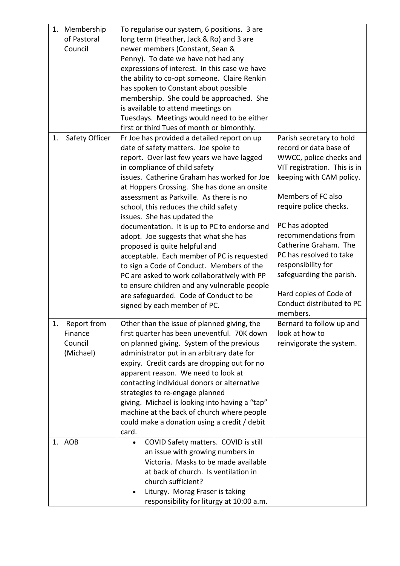| 1. | Membership     | To regularise our system, 6 positions. 3 are      |                              |
|----|----------------|---------------------------------------------------|------------------------------|
|    | of Pastoral    | long term (Heather, Jack & Ro) and 3 are          |                              |
|    | Council        | newer members (Constant, Sean &                   |                              |
|    |                | Penny). To date we have not had any               |                              |
|    |                | expressions of interest. In this case we have     |                              |
|    |                | the ability to co-opt someone. Claire Renkin      |                              |
|    |                | has spoken to Constant about possible             |                              |
|    |                | membership. She could be approached. She          |                              |
|    |                | is available to attend meetings on                |                              |
|    |                | Tuesdays. Meetings would need to be either        |                              |
|    |                | first or third Tues of month or bimonthly.        |                              |
| 1. | Safety Officer | Fr Joe has provided a detailed report on up       | Parish secretary to hold     |
|    |                | date of safety matters. Joe spoke to              | record or data base of       |
|    |                | report. Over last few years we have lagged        | WWCC, police checks and      |
|    |                | in compliance of child safety                     | VIT registration. This is in |
|    |                | issues. Catherine Graham has worked for Joe       | keeping with CAM policy.     |
|    |                | at Hoppers Crossing. She has done an onsite       |                              |
|    |                | assessment as Parkville. As there is no           | Members of FC also           |
|    |                | school, this reduces the child safety             | require police checks.       |
|    |                | issues. She has updated the                       |                              |
|    |                | documentation. It is up to PC to endorse and      | PC has adopted               |
|    |                | adopt. Joe suggests that what she has             | recommendations from         |
|    |                | proposed is quite helpful and                     | Catherine Graham. The        |
|    |                | acceptable. Each member of PC is requested        | PC has resolved to take      |
|    |                | to sign a Code of Conduct. Members of the         | responsibility for           |
|    |                | PC are asked to work collaboratively with PP      | safeguarding the parish.     |
|    |                | to ensure children and any vulnerable people      |                              |
|    |                | are safeguarded. Code of Conduct to be            | Hard copies of Code of       |
|    |                | signed by each member of PC.                      | Conduct distributed to PC    |
|    |                |                                                   | members.                     |
| 1. | Report from    | Other than the issue of planned giving, the       | Bernard to follow up and     |
|    | Finance        | first quarter has been uneventful. 70K down       | look at how to               |
|    | Council        | on planned giving. System of the previous         | reinvigorate the system.     |
|    | (Michael)      | administrator put in an arbitrary date for        |                              |
|    |                | expiry. Credit cards are dropping out for no      |                              |
|    |                | apparent reason. We need to look at               |                              |
|    |                | contacting individual donors or alternative       |                              |
|    |                | strategies to re-engage planned                   |                              |
|    |                | giving. Michael is looking into having a "tap"    |                              |
|    |                | machine at the back of church where people        |                              |
|    |                | could make a donation using a credit / debit      |                              |
|    |                | card.                                             |                              |
|    | 1. AOB         | COVID Safety matters. COVID is still<br>$\bullet$ |                              |
|    |                | an issue with growing numbers in                  |                              |
|    |                | Victoria. Masks to be made available              |                              |
|    |                | at back of church. Is ventilation in              |                              |
|    |                | church sufficient?                                |                              |
|    |                | Liturgy. Morag Fraser is taking                   |                              |
|    |                | responsibility for liturgy at 10:00 a.m.          |                              |